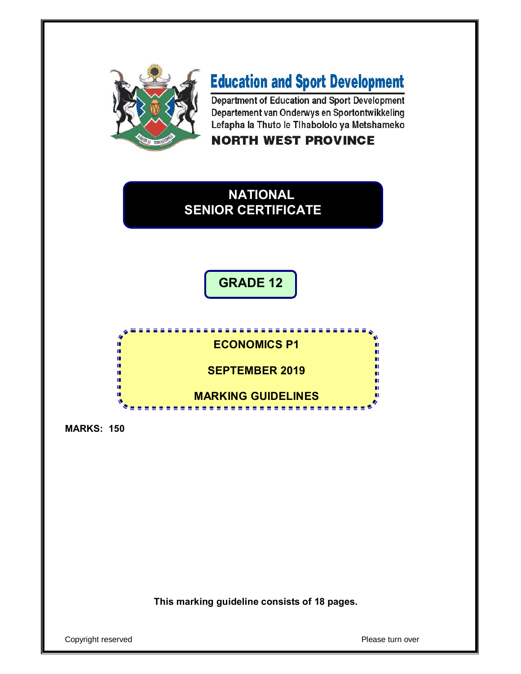

# **Education and Sport Development**

Department of Education and Sport Development Departement van Onderwys en Sportontwikkeling Lefapha la Thuto le Tihabololo ya Metshameko

# **NORTH WEST PROVINCE**







**MARKS: 150**

**This marking guideline consists of 18 pages.**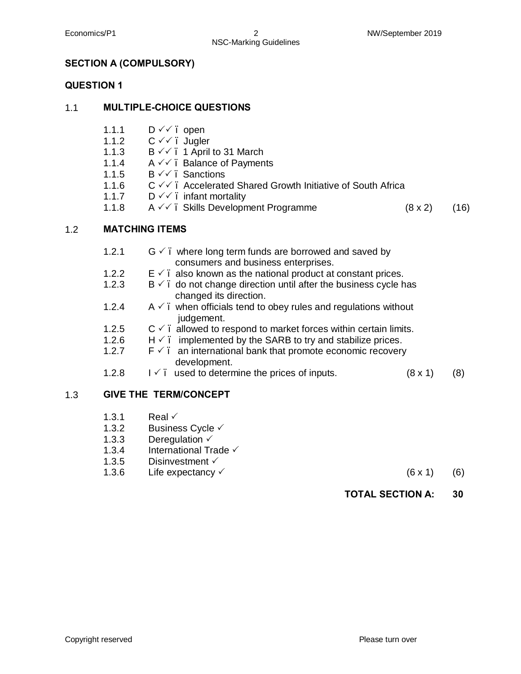# **SECTION A (COMPULSORY)**

## **QUESTION 1**

#### 1.1 **MULTIPLE-CHOICE QUESTIONS**

- 1.1.1  $D \vee \vee$ . open
- 1.1.2  $C \vee C$ . Jugler
- 1.1.3  $B \vee \vee$  . 1 April to 31 March
- 1.1.4 A √√. Balance of Payments
- 1.1.5  $B \vee \vee$ . Sanctions
- 1.1.6  $C \vee C$  . Accelerated Shared Growth Initiative of South Africa
- 1.1.7  $D \vee \vee$ . infant mortality
- 1.1.8  $A \vee A$ . Skills Development Programme (8 x 2) (16)

## 1.2 **MATCHING ITEMS**

|     | 1.2.1 | $G \vee$ . where long term funds are borrowed and saved by<br>consumers and business enterprises. |  |
|-----|-------|---------------------------------------------------------------------------------------------------|--|
|     | 1.2.2 | $E \nightharpoonup$ . also known as the national product at constant prices.                      |  |
|     | 1.2.3 | $B \vee$ . do not change direction until after the business cycle has<br>changed its direction.   |  |
|     | 1.2.4 | $A \vee$ . when officials tend to obey rules and regulations without<br>judgement.                |  |
|     | 1.2.5 | $C \vee$ allowed to respond to market forces within certain limits.                               |  |
|     | 1.2.6 | $H \n\checkmark$ . implemented by the SARB to try and stabilize prices.                           |  |
|     | 1.2.7 | $F \n\checkmark$ . an international bank that promote economic recovery<br>development.           |  |
|     | 1.2.8 | $1 \checkmark$ . used to determine the prices of inputs.<br>$(8 \times 1)$<br>(8)                 |  |
| 1.3 |       | <b>GIVE THE TERM/CONCEPT</b>                                                                      |  |

- 1.3.1 Real  $\checkmark$
- 1.3.2 Business Cycle  $\checkmark$
- 1.3.3 Deregulation  $\checkmark$
- 1.3.4 International Trade  $\checkmark$
- 1.3.5 Disinvestment  $\checkmark$
- 1.3.6 Life expectancy  $\checkmark$  (6 x 1) (6)
- - **TOTAL SECTION A: 30**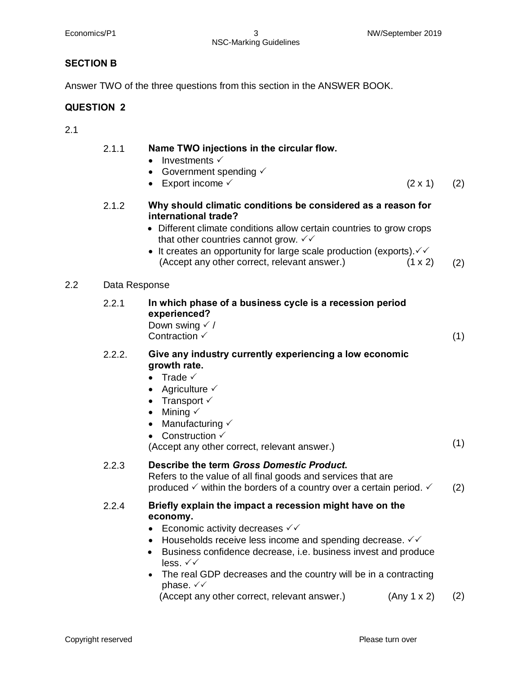NSC-Marking Guidelines

# **SECTION B**

Answer TWO of the three questions from this section in the ANSWER BOOK.

# **QUESTION 2**

2.1

 $2.2$ 

| 2.1.1         | Name TWO injections in the circular flow.<br>Investments $\checkmark$<br>Government spending $\checkmark$<br>$\bullet$<br>Export income √<br>$(2 \times 1)$                                                                                                                                                                                                                                                                   | (2) |
|---------------|-------------------------------------------------------------------------------------------------------------------------------------------------------------------------------------------------------------------------------------------------------------------------------------------------------------------------------------------------------------------------------------------------------------------------------|-----|
| 2.1.2         | Why should climatic conditions be considered as a reason for<br>international trade?<br>• Different climate conditions allow certain countries to grow crops<br>that other countries cannot grow. $\checkmark\checkmark$<br>• It creates an opportunity for large scale production (exports). $\checkmark\checkmark$<br>(Accept any other correct, relevant answer.)<br>$(1 \times 2)$                                        | (2) |
| Data Response |                                                                                                                                                                                                                                                                                                                                                                                                                               |     |
| 2.2.1         | In which phase of a business cycle is a recession period<br>experienced?<br>Down swing $\checkmark$ /<br>Contraction $\checkmark$                                                                                                                                                                                                                                                                                             | (1) |
| 2.2.2.        | Give any industry currently experiencing a low economic<br>growth rate.<br>• Trade $\checkmark$<br>Agriculture $\checkmark$<br>$\bullet$<br>• Transport $\checkmark$<br>• Mining $\checkmark$<br>• Manufacturing $\checkmark$<br>• Construction $\checkmark$<br>(Accept any other correct, relevant answer.)                                                                                                                  | (1) |
| 2.2.3         | Describe the term Gross Domestic Product.<br>Refers to the value of all final goods and services that are<br>produced $\checkmark$ within the borders of a country over a certain period. $\checkmark$                                                                                                                                                                                                                        | (2) |
| 2.2.4         | Briefly explain the impact a recession might have on the<br>economy.<br>Economic activity decreases $\checkmark\checkmark$<br>Households receive less income and spending decrease. $\checkmark\checkmark$<br>Business confidence decrease, i.e. business invest and produce<br>less. $\checkmark\checkmark$<br>The real GDP decreases and the country will be in a contracting<br>$\bullet$<br>phase. $\checkmark\checkmark$ |     |

(Accept any other correct, relevant answer.)  $(Any 1 x 2)$  (2)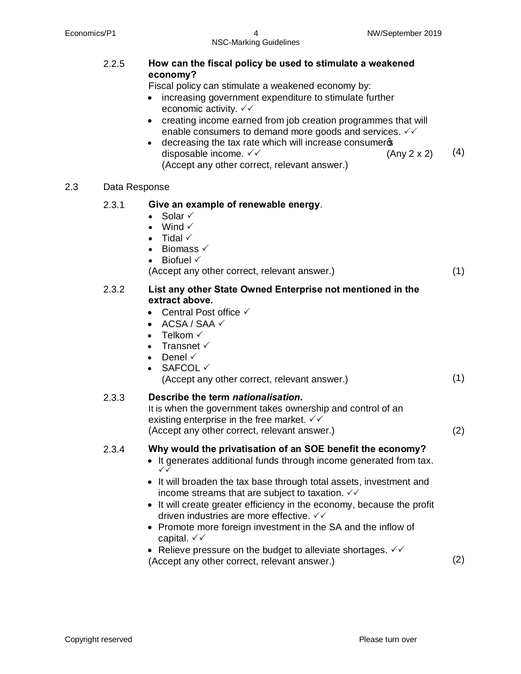|     | 2.2.5         | How can the fiscal policy be used to stimulate a weakened<br>economy?<br>Fiscal policy can stimulate a weakened economy by:<br>increasing government expenditure to stimulate further<br>economic activity. $\checkmark\checkmark$<br>creating income earned from job creation programmes that will<br>$\bullet$<br>enable consumers to demand more goods and services. $\checkmark\checkmark$<br>decreasing the tax rate which will increase consumeros<br>disposable income. √√<br>(Any 2 x 2)<br>(Accept any other correct, relevant answer.)                                                              | (4) |
|-----|---------------|---------------------------------------------------------------------------------------------------------------------------------------------------------------------------------------------------------------------------------------------------------------------------------------------------------------------------------------------------------------------------------------------------------------------------------------------------------------------------------------------------------------------------------------------------------------------------------------------------------------|-----|
| 2.3 | Data Response |                                                                                                                                                                                                                                                                                                                                                                                                                                                                                                                                                                                                               |     |
|     | 2.3.1         | Give an example of renewable energy.<br>Solar $\checkmark$<br>$\bullet$<br>Wind $\checkmark$<br>$\bullet$<br>Tidal $\checkmark$<br>$\bullet$<br>• Biomass $\checkmark$<br>• Biofuel $\checkmark$<br>(Accept any other correct, relevant answer.)                                                                                                                                                                                                                                                                                                                                                              | (1) |
|     | 2.3.2         | List any other State Owned Enterprise not mentioned in the<br>extract above.<br>Central Post office √<br>ACSA / SAA √<br>$\bullet$<br>Telkom √<br>$\bullet$<br>Transnet $\checkmark$<br>$\bullet$<br>Denel $\checkmark$<br>$\bullet$<br>SAFCOL ✓<br>(Accept any other correct, relevant answer.)                                                                                                                                                                                                                                                                                                              | (1) |
|     | 2.3.3         | Describe the term nationalisation.<br>It is when the government takes ownership and control of an<br>existing enterprise in the free market. $\checkmark\checkmark$<br>(Accept any other correct, relevant answer.)                                                                                                                                                                                                                                                                                                                                                                                           | (2) |
|     | 2.3.4         | Why would the privatisation of an SOE benefit the economy?<br>• It generates additional funds through income generated from tax.<br>$\checkmark$<br>• It will broaden the tax base through total assets, investment and<br>income streams that are subject to taxation. $\checkmark\checkmark$<br>• It will create greater efficiency in the economy, because the profit<br>driven industries are more effective. $∨∨$<br>• Promote more foreign investment in the SA and the inflow of<br>capital. $\checkmark\checkmark$<br>• Relieve pressure on the budget to alleviate shortages. $\checkmark\checkmark$ |     |
|     |               | (Accept any other correct, relevant answer.)                                                                                                                                                                                                                                                                                                                                                                                                                                                                                                                                                                  | (2) |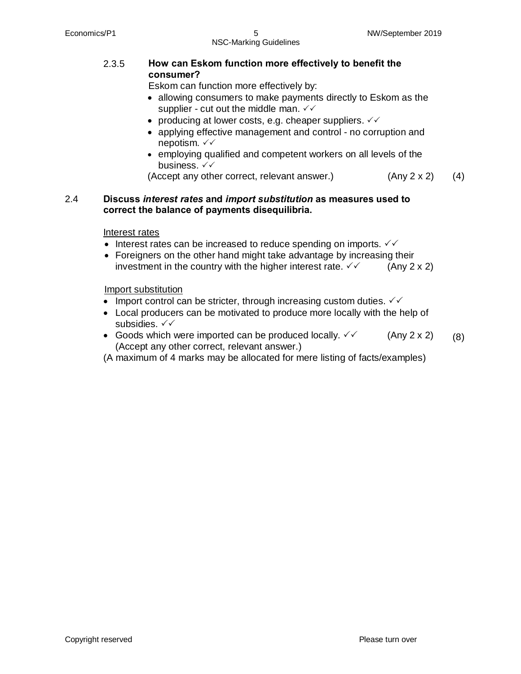## 2.3.5 **How can Eskom function more effectively to benefit the consumer?**

Eskom can function more effectively by:

- · allowing consumers to make payments directly to Eskom as the supplier - cut out the middle man.  $\sqrt{V}$
- producing at lower costs, e.g. cheaper suppliers.  $\checkmark\checkmark$
- applying effective management and control no corruption and nepotism.  $\checkmark\checkmark$
- · employing qualified and competent workers on all levels of the business.  $\checkmark\checkmark$

```
(Accept any other correct, relevant answer.) (Any 2 x 2) (4)
```
### 2.4 **Discuss** *interest rates* **and** *import substitution* **as measures used to correct the balance of payments disequilibria.**

#### Interest rates

- Interest rates can be increased to reduce spending on imports.  $\sqrt{6}$
- Foreigners on the other hand might take advantage by increasing their investment in the country with the higher interest rate.  $\checkmark$  (Any 2 x 2)

Import substitution

- Import control can be stricter, through increasing custom duties.  $\checkmark\checkmark$
- · Local producers can be motivated to produce more locally with the help of subsidies.  $\checkmark\checkmark$
- Goods which were imported can be produced locally.  $\checkmark$  (Any 2 x 2) (Accept any other correct, relevant answer.) (8)
- (A maximum of 4 marks may be allocated for mere listing of facts/examples)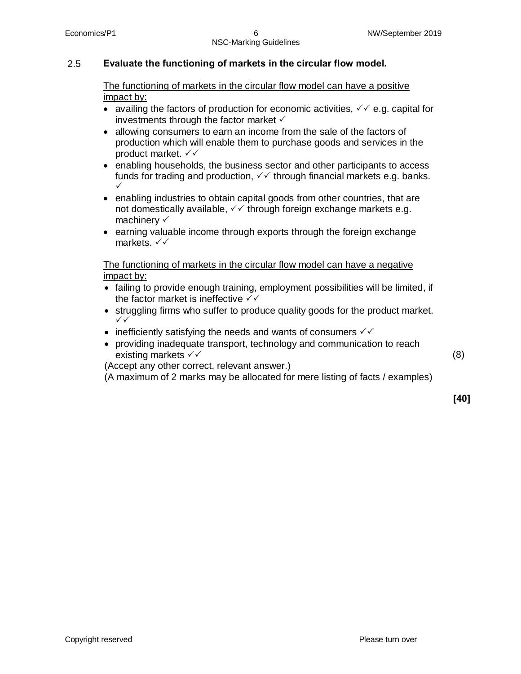## 2.5 **Evaluate the functioning of markets in the circular flow model.**

The functioning of markets in the circular flow model can have a positive impact by:

- availing the factors of production for economic activities,  $\sqrt{6}$  e.g. capital for investments through the factor market  $\checkmark$
- · allowing consumers to earn an income from the sale of the factors of production which will enable them to purchase goods and services in the product market.  $\checkmark\checkmark$
- enabling households, the business sector and other participants to access funds for trading and production,  $\sqrt{ }$  through financial markets e.g. banks.  $\checkmark$
- enabling industries to obtain capital goods from other countries, that are not domestically available,  $\sqrt{\sqrt{}}$  through foreign exchange markets e.g. machinery  $\checkmark$
- earning valuable income through exports through the foreign exchange markets.  $\checkmark\checkmark$

The functioning of markets in the circular flow model can have a negative impact by:

- · failing to provide enough training, employment possibilities will be limited, if the factor market is ineffective  $\sqrt{\sqrt{}}$
- · struggling firms who suffer to produce quality goods for the product market.  $\checkmark$
- inefficiently satisfying the needs and wants of consumers  $\checkmark\checkmark$
- · providing inadequate transport, technology and communication to reach existing markets  $\checkmark$

(Accept any other correct, relevant answer.)

(A maximum of 2 marks may be allocated for mere listing of facts / examples)

**[40]**

(8)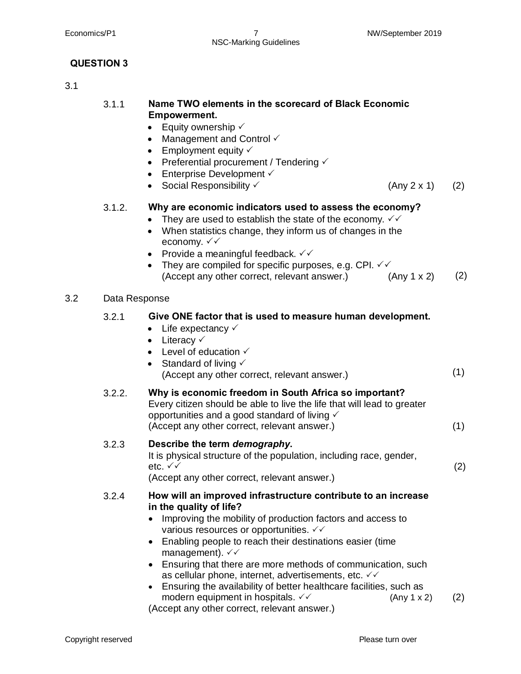Economics/P1 7 NW/September 2019 NSC-Marking Guidelines

# **QUESTION 3**

# 3.1

# 3.1.1 **Name TWO elements in the scorecard of Black Economic Empowerment.**

- Equity ownership  $\checkmark$
- Management and Control  $\checkmark$
- Employment equity  $\checkmark$
- Preferential procurement / Tendering  $\checkmark$
- Enterprise Development  $\checkmark$
- Social Responsibility  $\checkmark$  (Any 2 x 1) **(2)**

(2)

# 3.1.2. **Why are economic indicators used to assess the economy?**

- They are used to establish the state of the economy.  $\sqrt{2}$
- · When statistics change, they inform us of changes in the economy.  $\checkmark\checkmark$
- Provide a meaningful feedback.  $\checkmark\checkmark$
- They are compiled for specific purposes, e.g. CPI.  $\checkmark$ (Accept any other correct, relevant answer.)  $(Any 1 x 2)$  (2)

#### 3.2 Data Response

# 3.2.1 **Give ONE factor that is used to measure human development.**

- Life expectancy  $\checkmark$
- Literacy  $\checkmark$
- Level of education  $\checkmark$
- Standard of living  $\checkmark$ (Accept any other correct, relevant answer.) (1)

# 3.2.2. **Why is economic freedom in South Africa so important?**

Every citizen should be able to live the life that will lead to greater opportunities and a good standard of living  $\checkmark$ 

(Accept any other correct, relevant answer.) (1)<br>3.2.3 **Describe the term** *demography***.** 

# 3.2.3 **Describe the term** *demography***.**

It is physical structure of the population, including race, gender, etc.  $\checkmark\checkmark$ 

(Accept any other correct, relevant answer.)

#### 3.2.4 **How will an improved infrastructure contribute to an increase in the quality of life?**

- Improving the mobility of production factors and access to various resources or opportunities.  $\checkmark\checkmark$
- · Enabling people to reach their destinations easier (time management).  $\checkmark\checkmark$
- Ensuring that there are more methods of communication, such as cellular phone, internet, advertisements, etc.  $\checkmark\checkmark$
- · Ensuring the availability of better healthcare facilities, such as modern equipment in hospitals.  $\checkmark$   $\checkmark$  (Any 1 x 2) (2)

(Accept any other correct, relevant answer.)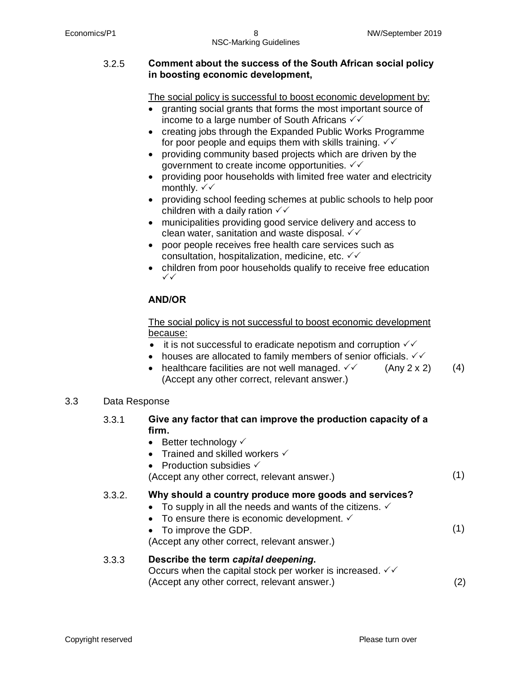#### 3.2.5 **Comment about the success of the South African social policy in boosting economic development,**

The social policy is successful to boost economic development by:

- · granting social grants that forms the most important source of income to a large number of South Africans  $\sqrt{\sqrt{}}$
- creating jobs through the Expanded Public Works Programme for poor people and equips them with skills training.  $\checkmark\checkmark$
- · providing community based projects which are driven by the government to create income opportunities.  $\sqrt{ }$
- · providing poor households with limited free water and electricity monthly.  $\checkmark\checkmark$
- · providing school feeding schemes at public schools to help poor children with a daily ration  $\checkmark\checkmark$
- · municipalities providing good service delivery and access to clean water, sanitation and waste disposal.  $\checkmark\checkmark$
- · poor people receives free health care services such as consultation, hospitalization, medicine, etc.  $\sqrt{V}$
- children from poor households qualify to receive free education  $\checkmark$

# **AND/OR**

The social policy is not successful to boost economic development because:

- it is not successful to eradicate nepotism and corruption  $\sqrt{ }$
- houses are allocated to family members of senior officials.  $\checkmark\checkmark$
- healthcare facilities are not well managed.  $\checkmark$  (Any 2 x 2) (Accept any other correct, relevant answer.) (4)

# 3.3 Data Response

# 3.3.1 **Give any factor that can improve the production capacity of a firm.**

- Better technology  $\checkmark$
- Trained and skilled workers  $\checkmark$
- Production subsidies  $\checkmark$

(Accept any other correct, relevant answer.) (1)

# 3.3.2. **Why should a country produce more goods and services?**

- To supply in all the needs and wants of the citizens.  $\checkmark$
- To ensure there is economic development.  $\checkmark$
- · To improve the GDP.

(Accept any other correct, relevant answer.)

# 3.3.3 **Describe the term** *capital deepening***.**

Occurs when the capital stock per worker is increased.  $\sqrt{2}$ (Accept any other correct, relevant answer.)

(2)

(1)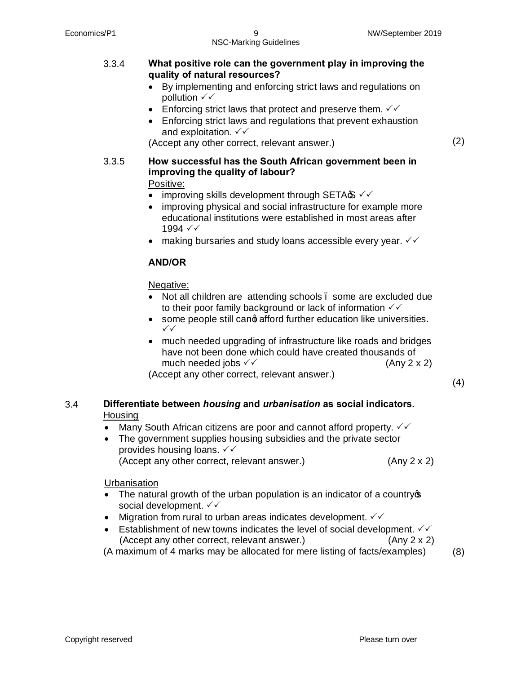- · By implementing and enforcing strict laws and regulations on pollution  $\checkmark\checkmark$
- Enforcing strict laws that protect and preserve them.  $\sqrt{6}$
- Enforcing strict laws and regulations that prevent exhaustion and exploitation.  $\checkmark\checkmark$

(Accept any other correct, relevant answer.) (2)

3.3.5 **How successful has the South African government been in improving the quality of labour?** Positive:

- improving skills development through SETA $\mathfrak{S} \vee \mathfrak{S}$
- improving physical and social infrastructure for example more educational institutions were established in most areas after 1994  $\checkmark\checkmark$
- making bursaries and study loans accessible every year.  $\checkmark\checkmark$

# **AND/OR**

#### Negative:

- Not all children are attending schools . some are excluded due to their poor family background or lack of information  $\sqrt{}$
- some people still cand afford further education like universities.  $\checkmark$
- · much needed upgrading of infrastructure like roads and bridges have not been done which could have created thousands of much needed jobs  $\checkmark$  (Any 2 x 2)

(Accept any other correct, relevant answer.) (4)

# 3.4 **Differentiate between** *housing* **and** *urbanisation* **as social indicators.** Housing

- Many South African citizens are poor and cannot afford property.  $\checkmark\checkmark$
- · The government supplies housing subsidies and the private sector provides housing loans.  $\checkmark\checkmark$ (Accept any other correct, relevant answer.) (Any 2 x 2)

Urbanisation

- The natural growth of the urban population is an indicator of a country  $\infty$ social development.  $\checkmark\checkmark$
- Migration from rural to urban areas indicates development.  $\checkmark\checkmark$
- Establishment of new towns indicates the level of social development.  $\checkmark\checkmark$ (Accept any other correct, relevant answer.) (Any 2 x 2)

(A maximum of 4 marks may be allocated for mere listing of facts/examples) (8)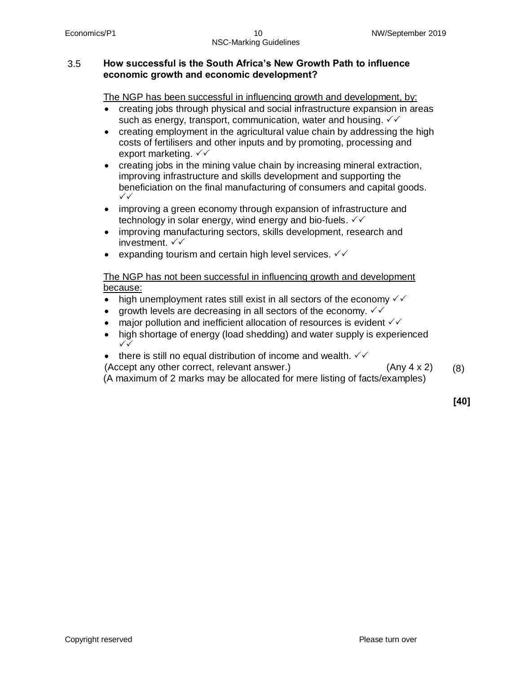#### 3.5 **How successful is the South Africa's New Growth Path to influence economic growth and economic development?**

The NGP has been successful in influencing growth and development, by:

- · creating jobs through physical and social infrastructure expansion in areas such as energy, transport, communication, water and housing.  $\checkmark\checkmark$
- creating employment in the agricultural value chain by addressing the high costs of fertilisers and other inputs and by promoting, processing and export marketing.  $\checkmark\checkmark$
- creating jobs in the mining value chain by increasing mineral extraction, improving infrastructure and skills development and supporting the beneficiation on the final manufacturing of consumers and capital goods.  $\checkmark$
- improving a green economy through expansion of infrastructure and technology in solar energy, wind energy and bio-fuels.  $\checkmark\checkmark$
- improving manufacturing sectors, skills development, research and investment.  $\checkmark\checkmark$
- expanding tourism and certain high level services.  $\sqrt{6}$

### The NGP has not been successful in influencing growth and development because:

- high unemployment rates still exist in all sectors of the economy  $\checkmark\checkmark$
- growth levels are decreasing in all sectors of the economy.  $\checkmark\checkmark$
- major pollution and inefficient allocation of resources is evident  $\checkmark\checkmark$
- high shortage of energy (load shedding) and water supply is experienced  $\checkmark$
- there is still no equal distribution of income and wealth.  $\sqrt{6}$

(Accept any other correct, relevant answer.) (Any 4 x 2)

(8)

(A maximum of 2 marks may be allocated for mere listing of facts/examples)

**[40]**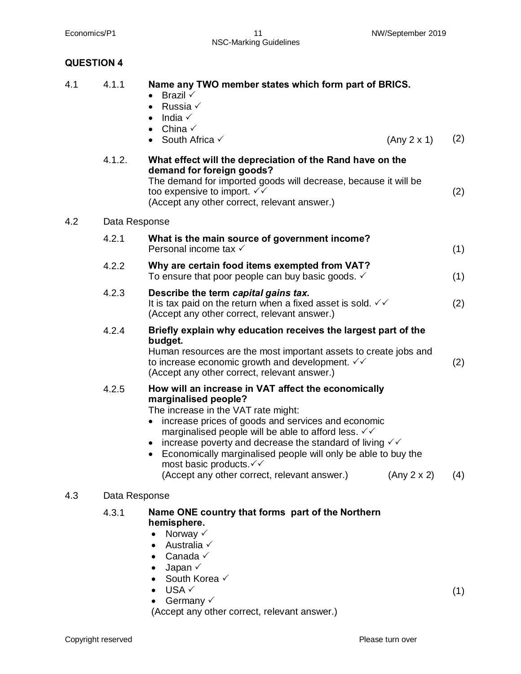Economics/P1 11 11 NW/September 2019 NSC-Marking Guidelines

# **QUESTION 4**

| 4.1 | 4.1.1         | Name any TWO member states which form part of BRICS.<br>Brazil $\checkmark$<br>$\bullet$<br>Russia √<br>$\bullet$<br>India $\checkmark$<br>$\bullet$<br>China $\checkmark$<br>$\bullet$<br>• South Africa $\checkmark$<br>(Any 2 x 1)                                                                                                                                                                                                                                                                       | (2) |  |  |
|-----|---------------|-------------------------------------------------------------------------------------------------------------------------------------------------------------------------------------------------------------------------------------------------------------------------------------------------------------------------------------------------------------------------------------------------------------------------------------------------------------------------------------------------------------|-----|--|--|
|     | 4.1.2.        | What effect will the depreciation of the Rand have on the<br>demand for foreign goods?<br>The demand for imported goods will decrease, because it will be<br>too expensive to import. √√<br>(Accept any other correct, relevant answer.)                                                                                                                                                                                                                                                                    | (2) |  |  |
| 4.2 | Data Response |                                                                                                                                                                                                                                                                                                                                                                                                                                                                                                             |     |  |  |
|     | 4.2.1         | What is the main source of government income?<br>Personal income tax √                                                                                                                                                                                                                                                                                                                                                                                                                                      | (1) |  |  |
|     | 4.2.2         | Why are certain food items exempted from VAT?<br>To ensure that poor people can buy basic goods. $\checkmark$                                                                                                                                                                                                                                                                                                                                                                                               | (1) |  |  |
|     | 4.2.3         | Describe the term capital gains tax.<br>It is tax paid on the return when a fixed asset is sold. $\checkmark\checkmark$<br>(Accept any other correct, relevant answer.)                                                                                                                                                                                                                                                                                                                                     | (2) |  |  |
|     | 4.2.4         | Briefly explain why education receives the largest part of the<br>budget.<br>Human resources are the most important assets to create jobs and<br>to increase economic growth and development. √√<br>(Accept any other correct, relevant answer.)                                                                                                                                                                                                                                                            | (2) |  |  |
|     | 4.2.5         | How will an increase in VAT affect the economically<br>marginalised people?<br>The increase in the VAT rate might:<br>increase prices of goods and services and economic<br>marginalised people will be able to afford less. $\checkmark\checkmark$<br>increase poverty and decrease the standard of living $\checkmark\checkmark$<br>Economically marginalised people will only be able to buy the<br>$\bullet$<br>most basic products. V V<br>(Accept any other correct, relevant answer.)<br>(Any 2 x 2) | (4) |  |  |
| 4.3 | Data Response |                                                                                                                                                                                                                                                                                                                                                                                                                                                                                                             |     |  |  |
|     | 4.3.1         | Name ONE country that forms part of the Northern<br>hemisphere.<br>Norway $\checkmark$<br>$\bullet$<br>Australia √<br>$\bullet$<br>Canada √<br>Japan $\checkmark$<br>South Korea V<br>USA √<br>Germany $\checkmark$<br>(Accept any other correct, relevant answer.)                                                                                                                                                                                                                                         | (1) |  |  |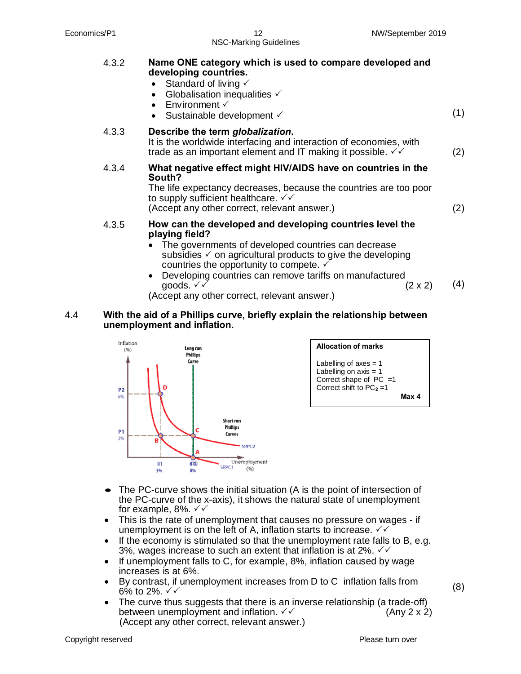4.3.2 **Name ONE category which is used to compare developed and developing countries.**  • Standard of living  $\checkmark$ • Globalisation inequalities  $\checkmark$ • Environment  $\checkmark$  $\frac{1}{2}$  Sustainable development  $\checkmark$  (1) 4.3.3 **Describe the term** *globalization***.** It is the worldwide interfacing and interaction of economies, with trade as an important element and IT making it possible.  $\checkmark$  (2) 4.3.4 **What negative effect might HIV/AIDS have on countries in the South?** The life expectancy decreases, because the countries are too poor to supply sufficient healthcare.  $\sqrt{\sqrt{}}$ (Accept any other correct, relevant answer.) (2) 4.3.5 **How can the developed and developing countries level the playing field?**  · The governments of developed countries can decrease subsidies  $\checkmark$  on agricultural products to give the developing countries the opportunity to compete.  $\checkmark$ • Developing countries can remove tariffs on manufactured agoods.  $\checkmark$  x 2) aoods.  $\checkmark$ (4)

(Accept any other correct, relevant answer.)

#### 4.4 **With the aid of a Phillips curve, briefly explain the relationship between unemployment and inflation.**





- The PC-curve shows the initial situation (A is the point of intersection of the PC-curve of the x-axis), it shows the natural state of unemployment for example, 8%.  $\checkmark\checkmark$
- · This is the rate of unemployment that causes no pressure on wages if unemployment is on the left of A, inflation starts to increase.  $\checkmark\checkmark$
- If the economy is stimulated so that the unemployment rate falls to B, e.g. 3%, wages increase to such an extent that inflation is at 2%.  $\checkmark\checkmark$
- If unemployment falls to C, for example, 8%, inflation caused by wage increases is at 6%.
- · By contrast, if unemployment increases from D to C inflation falls from  $6\%$  to 2%.  $\checkmark$
- The curve thus suggests that there is an inverse relationship (a trade-off) between unemployment and inflation.  $\checkmark$   $\checkmark$  **Example 2** x 2) (Accept any other correct, relevant answer.)

(8)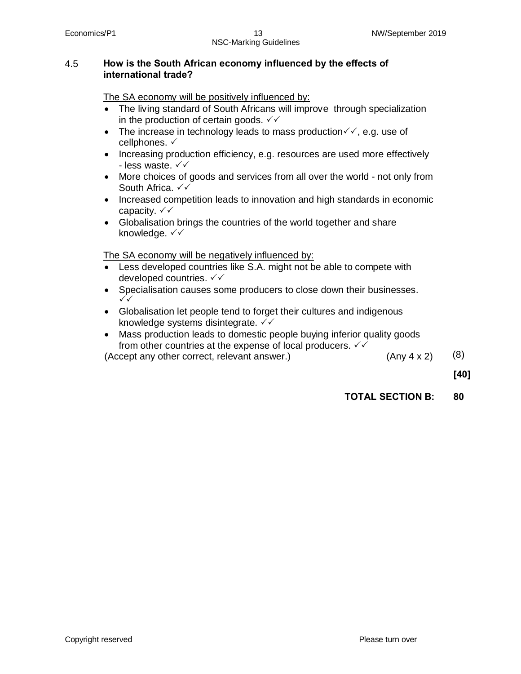#### 4.5 **How is the South African economy influenced by the effects of international trade?**

The SA economy will be positively influenced by:

- The living standard of South Africans will improve through specialization in the production of certain goods.  $\sqrt{v}$
- The increase in technology leads to mass production  $\checkmark\checkmark$ , e.g. use of cellphones.  $\checkmark$
- · Increasing production efficiency, e.g. resources are used more effectively - less waste.  $\checkmark\checkmark$
- · More choices of goods and services from all over the world not only from South Africa.  $\checkmark\checkmark$
- · Increased competition leads to innovation and high standards in economic capacity.  $\checkmark\checkmark$
- · Globalisation brings the countries of the world together and share knowledge.  $\checkmark\checkmark$

The SA economy will be negatively influenced by:

- Less developed countries like S.A. might not be able to compete with developed countries.  $\checkmark\checkmark$
- · Specialisation causes some producers to close down their businesses.  $\checkmark\checkmark$
- · Globalisation let people tend to forget their cultures and indigenous knowledge systems disintegrate.  $\sqrt{\sqrt{}}$
- · Mass production leads to domestic people buying inferior quality goods from other countries at the expense of local producers.  $\sqrt{2}$

(Accept any other correct, relevant answer.)  $(Any 4 x 2)$   $(8)$ 

**[40]**

**TOTAL SECTION B: 80**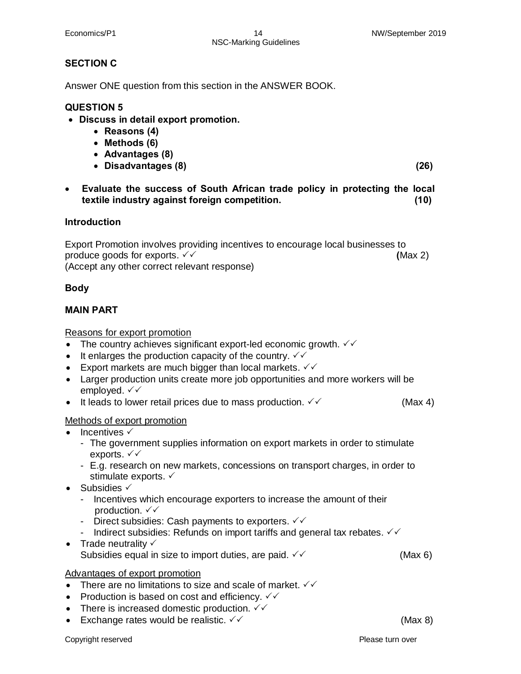#### Economics/P1 14 14 NW/September 2019 NSC-Marking Guidelines

# **SECTION C**

Answer ONE question from this section in the ANSWER BOOK.

# **QUESTION 5**

- · **Discuss in detail export promotion.** 
	- · **Reasons (4)**
	- · **Methods (6)**
	- · **Advantages (8)**
	- · **Disadvantages (8) (26)**

· **Evaluate the success of South African trade policy in protecting the local textile industry against foreign competition. (10)** 

#### **Introduction**

Export Promotion involves providing incentives to encourage local businesses to produce goods for exports.  $\checkmark\checkmark$ (Accept any other correct relevant response)

#### **Body**

## **MAIN PART**

Reasons for export promotion

- The country achieves significant export-led economic growth.  $\checkmark\checkmark$
- It enlarges the production capacity of the country.  $\checkmark\checkmark$
- Export markets are much bigger than local markets.  $\checkmark\checkmark$
- · Larger production units create more job opportunities and more workers will be employed.  $\checkmark\checkmark$
- It leads to lower retail prices due to mass production.  $\checkmark$  and the mass of  $(Max 4)$

#### Methods of export promotion

- $\bullet$  Incentives  $\checkmark$ 
	- The government supplies information on export markets in order to stimulate exports.  $\checkmark\checkmark$
	- E.g. research on new markets, concessions on transport charges, in order to stimulate exports.  $\checkmark$
- Subsidies  $\checkmark$ 
	- Incentives which encourage exporters to increase the amount of their production.  $\checkmark\checkmark$
	- Direct subsidies: Cash payments to exporters.  $\checkmark\checkmark$
	- Indirect subsidies: Refunds on import tariffs and general tax rebates.  $\sqrt{6}$
- Trade neutrality  $\checkmark$ Subsidies equal in size to import duties, are paid.  $\checkmark$

#### Advantages of export promotion

- There are no limitations to size and scale of market.  $\checkmark\checkmark$
- Production is based on cost and efficiency.  $\checkmark\checkmark$
- There is increased domestic production.  $\sqrt{ }$
- Exchange rates would be realistic.  $\checkmark$   $\checkmark$  (Max 8)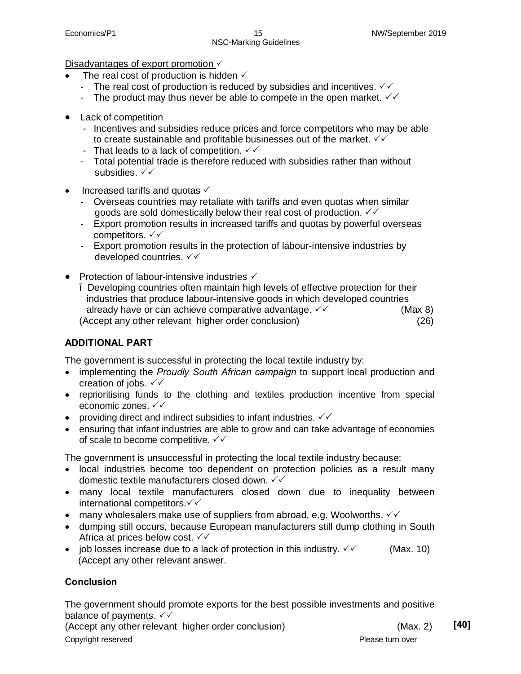## Disadvantages of export promotion  $\checkmark$

- The real cost of production is hidden  $\checkmark$ 
	- The real cost of production is reduced by subsidies and incentives.  $\sqrt{6}$
	- The product may thus never be able to compete in the open market.  $\sqrt{6}$
- Lack of competition
	- Incentives and subsidies reduce prices and force competitors who may be able to create sustainable and profitable businesses out of the market.  $\checkmark\checkmark$
	- That leads to a lack of competition.  $\sqrt{\sqrt{}}$
	- Total potential trade is therefore reduced with subsidies rather than without subsidies.  $\checkmark\checkmark$
- Increased tariffs and quotas  $\checkmark$ 
	- Overseas countries may retaliate with tariffs and even quotas when similar goods are sold domestically below their real cost of production.  $\checkmark\checkmark$
	- Export promotion results in increased tariffs and quotas by powerful overseas competitors.  $\checkmark\checkmark$
	- Export promotion results in the protection of labour-intensive industries by developed countries.  $\checkmark\checkmark$
- Protection of labour-intensive industries  $\checkmark$  Developing countries often maintain high levels of effective protection for their industries that produce labour-intensive goods in which developed countries already have or can achieve comparative advantage.  $\checkmark$   $\checkmark$  (Max 8) (Accept any other relevant higher order conclusion) (26)

# **ADDITIONAL PART**

The government is successful in protecting the local textile industry by:

- · implementing the *Proudly South African campaign* to support local production and creation of jobs.  $\checkmark\checkmark$
- · reprioritising funds to the clothing and textiles production incentive from special economic zones.  $\checkmark\checkmark$
- providing direct and indirect subsidies to infant industries.  $\checkmark\checkmark$
- ensuring that infant industries are able to grow and can take advantage of economies of scale to become competitive.  $\checkmark$

The government is unsuccessful in protecting the local textile industry because:

- · local industries become too dependent on protection policies as a result many domestic textile manufacturers closed down.  $\checkmark\checkmark$
- · many local textile manufacturers closed down due to inequality between international competitors. $\checkmark\checkmark$
- many wholesalers make use of suppliers from abroad, e.g. Woolworths.  $\checkmark\checkmark$
- · dumping still occurs, because European manufacturers still dump clothing in South Africa at prices below cost.  $\checkmark\checkmark$
- job losses increase due to a lack of protection in this industry.  $\checkmark$  (Max. 10) (Accept any other relevant answer.

# **Conclusion**

The government should promote exports for the best possible investments and positive balance of payments.  $\checkmark\checkmark$ 

Copyright reserved **Please turn over**  $\blacksquare$ (Accept any other relevant higher order conclusion) (Max. 2) **[40]**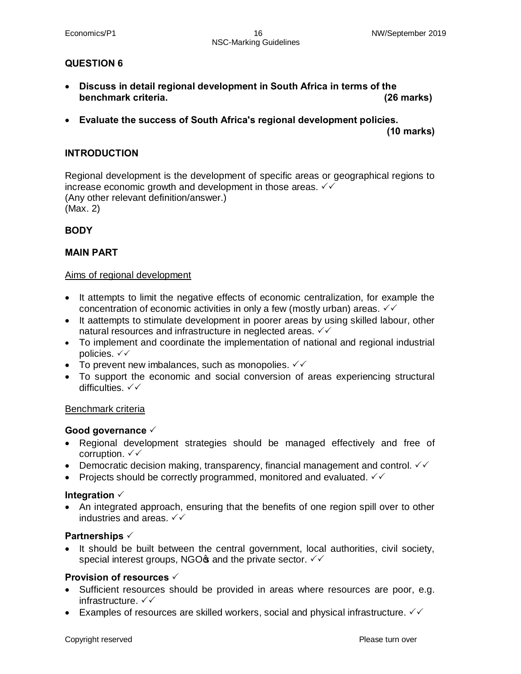## **QUESTION 6**

- · **Discuss in detail regional development in South Africa in terms of the benchmark criteria. (26 marks)**
- · **Evaluate the success of South Africa's regional development policies.**

 **(10 marks)**

#### **INTRODUCTION**

Regional development is the development of specific areas or geographical regions to increase economic growth and development in those areas.  $\sqrt{6}$ (Any other relevant definition/answer.) (Max. 2)

#### **BODY**

## **MAIN PART**

#### Aims of regional development

- · It attempts to limit the negative effects of economic centralization, for example the concentration of economic activities in only a few (mostly urban) areas.  $\checkmark\checkmark$
- · It aattempts to stimulate development in poorer areas by using skilled labour, other natural resources and infrastructure in neglected areas.  $\checkmark\checkmark$
- · To implement and coordinate the implementation of national and regional industrial policies.  $\checkmark\checkmark$
- To prevent new imbalances, such as monopolies.  $\checkmark\checkmark$
- · To support the economic and social conversion of areas experiencing structural difficulties.  $\checkmark\checkmark$

#### Benchmark criteria

#### Good governance  $\checkmark$

- · Regional development strategies should be managed effectively and free of corruption.  $\checkmark\checkmark$
- Democratic decision making, transparency, financial management and control.  $\checkmark\checkmark$
- Projects should be correctly programmed, monitored and evaluated.  $\checkmark\checkmark$

#### Integration  $\checkmark$

• An integrated approach, ensuring that the benefits of one region spill over to other industries and areas.  $\checkmark\checkmark$ 

#### **Partnerships**  $\checkmark$

• It should be built between the central government, local authorities, civil society, special interest groups, NGO $\phi$  and the private sector.  $\sqrt{2}$ 

#### **Provision of resources**  $\checkmark$

- · Sufficient resources should be provided in areas where resources are poor, e.g. infrastructure.  $\checkmark\checkmark$
- Examples of resources are skilled workers, social and physical infrastructure.  $\checkmark\checkmark$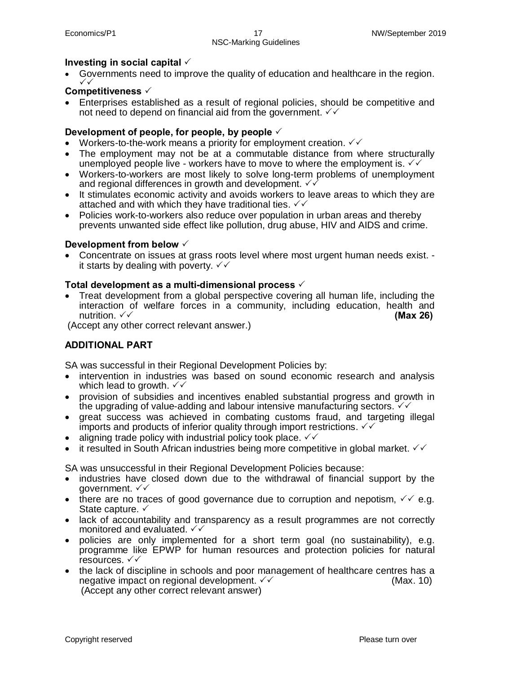# Investing in social capital  $\checkmark$

Governments need to improve the quality of education and healthcare in the region.<br>  $\checkmark$ 

# **Competitiveness**  $\checkmark$

· Enterprises established as a result of regional policies, should be competitive and not need to depend on financial aid from the government.  $\checkmark\checkmark$ 

# Development of people, for people, by people  $\checkmark$

- Workers-to-the-work means a priority for employment creation.  $\checkmark\checkmark$
- The employment may not be at a commutable distance from where structurally unemployed people live - workers have to move to where the employment is.  $\checkmark\checkmark$
- · Workers-to-workers are most likely to solve long-term problems of unemployment and regional differences in growth and development.  $\sqrt{\sqrt{}}$
- · It stimulates economic activity and avoids workers to leave areas to which they are attached and with which they have traditional ties.  $\checkmark\checkmark$
- · Policies work-to-workers also reduce over population in urban areas and thereby prevents unwanted side effect like pollution, drug abuse, HIV and AIDS and crime.

# **Development from below**  $\checkmark$

· Concentrate on issues at grass roots level where most urgent human needs exist. it starts by dealing with poverty.  $\sqrt{v}$ 

## **Total development as a multi-dimensional process** P

· Treat development from a global perspective covering all human life, including the interaction of welfare forces in a community, including education, health and nutrition. <del>V</del> **(Max 26) (Max 26) (Max 26) (Max 26) (Max 26) (Max 26) (Max 26) (Max 26) (Max 26) (Max 26) (Max 26) (Max 26) (Max 26) (Max 26) (Max 26) (Max 26) (Max 26) (Max 26) (Max 26** 

(Accept any other correct relevant answer.)

# **ADDITIONAL PART**

SA was successful in their Regional Development Policies by:

- intervention in industries was based on sound economic research and analysis which lead to growth.  $\sqrt{2}$
- · provision of subsidies and incentives enabled substantial progress and growth in the upgrading of value-adding and labour intensive manufacturing sectors.  $\sqrt{2}$
- · great success was achieved in combating customs fraud, and targeting illegal imports and products of inferior quality through import restrictions.  $\sqrt{2}$
- aligning trade policy with industrial policy took place.  $\sqrt{6}$
- it resulted in South African industries being more competitive in global market.  $\checkmark\checkmark$

SA was unsuccessful in their Regional Development Policies because:

- · industries have closed down due to the withdrawal of financial support by the government.  $\sqrt{v}$
- there are no traces of good governance due to corruption and nepotism,  $\sqrt{6}$  e.g. State capture.  $\checkmark$
- · lack of accountability and transparency as a result programmes are not correctly monitored and evaluated.  $\checkmark\checkmark$
- · policies are only implemented for a short term goal (no sustainability), e.g. programme like EPWP for human resources and protection policies for natural resources.  $\sqrt{\sqrt{}}$
- · the lack of discipline in schools and poor management of healthcare centres has a negative impact on regional development.  $\checkmark$  and the example of the (Max. 10) (Accept any other correct relevant answer)